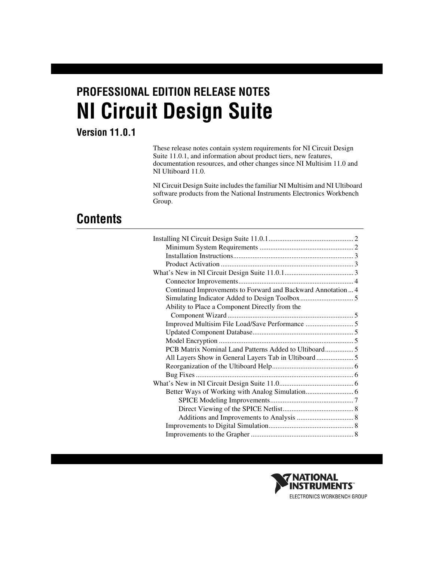# **PROFESSIONAL EDITION RELEASE NOTES NI Circuit Design Suite**

#### **Version 11.0.1**

These release notes contain system requirements for NI Circuit Design Suite 11.0.1, and information about product tiers, new features, documentation resources, and other changes since NI Multisim 11.0 and NI Ultiboard 11.0.

NI Circuit Design Suite includes the familiar NI Multisim and NI Ultiboard software products from the National Instruments Electronics Workbench Group.

## **Contents**

| Continued Improvements to Forward and Backward Annotation 4 |  |
|-------------------------------------------------------------|--|
|                                                             |  |
| Ability to Place a Component Directly from the              |  |
|                                                             |  |
|                                                             |  |
|                                                             |  |
|                                                             |  |
| PCB Matrix Nominal Land Patterns Added to Ultiboard 5       |  |
|                                                             |  |
|                                                             |  |
|                                                             |  |
|                                                             |  |
|                                                             |  |
|                                                             |  |
|                                                             |  |
|                                                             |  |
|                                                             |  |
|                                                             |  |

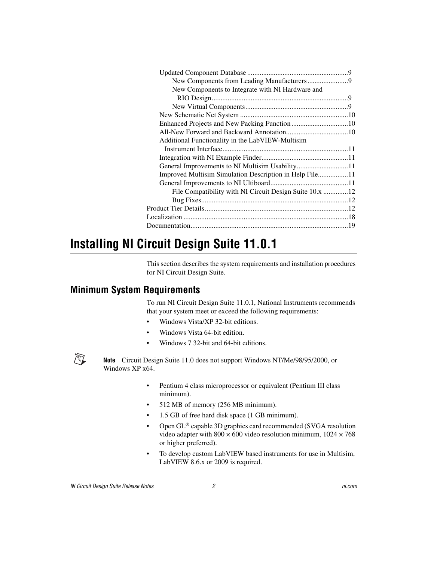| New Components to Integrate with NI Hardware and        |  |
|---------------------------------------------------------|--|
|                                                         |  |
|                                                         |  |
|                                                         |  |
|                                                         |  |
|                                                         |  |
| Additional Functionality in the LabVIEW-Multisim        |  |
|                                                         |  |
|                                                         |  |
| General Improvements to NI Multisim Usability11         |  |
| Improved Multisim Simulation Description in Help File11 |  |
|                                                         |  |
| File Compatibility with NI Circuit Design Suite 10.x 12 |  |
|                                                         |  |
|                                                         |  |
|                                                         |  |
|                                                         |  |
|                                                         |  |

## <span id="page-1-0"></span>**Installing NI Circuit Design Suite 11.0.1**

This section describes the system requirements and installation procedures for NI Circuit Design Suite.

## <span id="page-1-1"></span>**Minimum System Requirements**

To run NI Circuit Design Suite 11.0.1, National Instruments recommends that your system meet or exceed the following requirements:

- Windows Vista/XP 32-bit editions.
- Windows Vista 64-bit edition.
- Windows 7 32-bit and 64-bit editions.

**Note** Circuit Design Suite 11.0 does not support Windows NT/Me/98/95/2000, or Windows XP x64.

- Pentium 4 class microprocessor or equivalent (Pentium III class minimum).
- 512 MB of memory (256 MB minimum).
- 1.5 GB of free hard disk space (1 GB minimum).
- Open GL® capable 3D graphics card recommended (SVGA resolution video adapter with  $800 \times 600$  video resolution minimum,  $1024 \times 768$ or higher preferred).
- To develop custom LabVIEW based instruments for use in Multisim, LabVIEW 8.6.x or 2009 is required.

 $\mathbb{N}$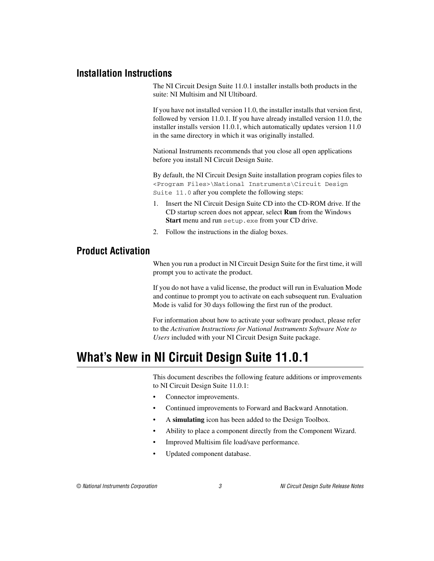#### <span id="page-2-0"></span>**Installation Instructions**

The NI Circuit Design Suite 11.0.1 installer installs both products in the suite: NI Multisim and NI Ultiboard.

If you have not installed version 11.0, the installer installs that version first, followed by version 11.0.1. If you have already installed version 11.0, the installer installs version 11.0.1, which automatically updates version 11.0 in the same directory in which it was originally installed.

National Instruments recommends that you close all open applications before you install NI Circuit Design Suite.

By default, the NI Circuit Design Suite installation program copies files to <Program Files>\National Instruments\Circuit Design Suite 11.0 after you complete the following steps:

- 1. Insert the NI Circuit Design Suite CD into the CD-ROM drive. If the CD startup screen does not appear, select **Run** from the Windows **Start** menu and run setup.exe from your CD drive.
- 2. Follow the instructions in the dialog boxes.

#### <span id="page-2-1"></span>**Product Activation**

When you run a product in NI Circuit Design Suite for the first time, it will prompt you to activate the product.

If you do not have a valid license, the product will run in Evaluation Mode and continue to prompt you to activate on each subsequent run. Evaluation Mode is valid for 30 days following the first run of the product.

For information about how to activate your software product, please refer to the *Activation Instructions for National Instruments Software Note to Users* included with your NI Circuit Design Suite package.

## <span id="page-2-2"></span>**What's New in NI Circuit Design Suite 11.0.1**

This document describes the following feature additions or improvements to NI Circuit Design Suite 11.0.1:

- Connector improvements.
- Continued improvements to Forward and Backward Annotation.
- A **simulating** icon has been added to the Design Toolbox.
- Ability to place a component directly from the Component Wizard.
- Improved Multisim file load/save performance.
- Updated component database.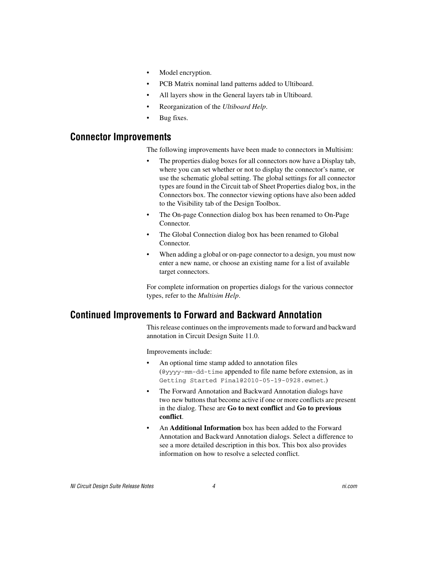- Model encryption.
- PCB Matrix nominal land patterns added to Ultiboard.
- All layers show in the General layers tab in Ultiboard.
- Reorganization of the *Ultiboard Help*.
- Bug fixes.

#### <span id="page-3-0"></span>**Connector Improvements**

The following improvements have been made to connectors in Multisim:

- The properties dialog boxes for all connectors now have a Display tab, where you can set whether or not to display the connector's name, or use the schematic global setting. The global settings for all connector types are found in the Circuit tab of Sheet Properties dialog box, in the Connectors box. The connector viewing options have also been added to the Visibility tab of the Design Toolbox.
- The On-page Connection dialog box has been renamed to On-Page Connector.
- The Global Connection dialog box has been renamed to Global Connector.
- When adding a global or on-page connector to a design, you must now enter a new name, or choose an existing name for a list of available target connectors.

For complete information on properties dialogs for the various connector types, refer to the *Multisim Help*.

## <span id="page-3-1"></span>**Continued Improvements to Forward and Backward Annotation**

This release continues on the improvements made to forward and backward annotation in Circuit Design Suite 11.0.

Improvements include:

- An optional time stamp added to annotation files (@yyyy-mm-dd-time appended to file name before extension, as in Getting Started Final@2010-05-19-0928.ewnet.)
- The Forward Annotation and Backward Annotation dialogs have two new buttons that become active if one or more conflicts are present in the dialog. These are **Go to next conflict** and **Go to previous conflict**.
- An **Additional Information** box has been added to the Forward Annotation and Backward Annotation dialogs. Select a difference to see a more detailed description in this box. This box also provides information on how to resolve a selected conflict.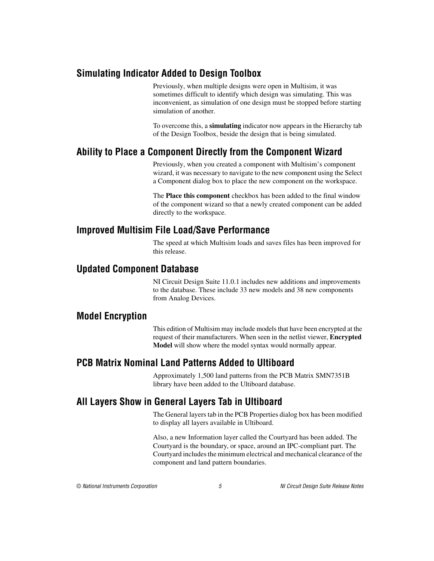### <span id="page-4-0"></span>**Simulating Indicator Added to Design Toolbox**

Previously, when multiple designs were open in Multisim, it was sometimes difficult to identify which design was simulating. This was inconvenient, as simulation of one design must be stopped before starting simulation of another.

To overcome this, a **simulating** indicator now appears in the Hierarchy tab of the Design Toolbox, beside the design that is being simulated.

## <span id="page-4-1"></span>**Ability to Place a Component Directly from the Component Wizard**

Previously, when you created a component with Multisim's component wizard, it was necessary to navigate to the new component using the Select a Component dialog box to place the new component on the workspace.

The **Place this component** checkbox has been added to the final window of the component wizard so that a newly created component can be added directly to the workspace.

## <span id="page-4-2"></span>**Improved Multisim File Load/Save Performance**

The speed at which Multisim loads and saves files has been improved for this release.

#### <span id="page-4-3"></span>**Updated Component Database**

NI Circuit Design Suite 11.0.1 includes new additions and improvements to the database. These include 33 new models and 38 new components from Analog Devices.

#### <span id="page-4-4"></span>**Model Encryption**

This edition of Multisim may include models that have been encrypted at the request of their manufacturers. When seen in the netlist viewer, **Encrypted Model** will show where the model syntax would normally appear.

## <span id="page-4-5"></span>**PCB Matrix Nominal Land Patterns Added to Ultiboard**

Approximately 1,500 land patterns from the PCB Matrix SMN7351B library have been added to the Ultiboard database.

## <span id="page-4-6"></span>**All Layers Show in General Layers Tab in Ultiboard**

The General layers tab in the PCB Properties dialog box has been modified to display all layers available in Ultiboard.

Also, a new Information layer called the Courtyard has been added. The Courtyard is the boundary, or space, around an IPC-compliant part. The Courtyard includes the minimum electrical and mechanical clearance of the component and land pattern boundaries.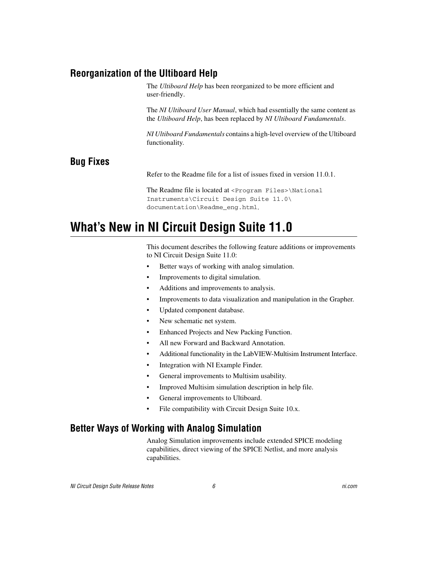## <span id="page-5-0"></span>**Reorganization of the Ultiboard Help**

The *Ultiboard Help* has been reorganized to be more efficient and user-friendly.

The *NI Ultiboard User Manual*, which had essentially the same content as the *Ultiboard Help*, has been replaced by *NI Ultiboard Fundamentals*.

*NI Ultiboard Fundamentals* contains a high-level overview of the Ultiboard functionality.

### <span id="page-5-1"></span>**Bug Fixes**

Refer to the Readme file for a list of issues fixed in version 11.0.1.

The Readme file is located at <Program Files>\National Instruments\Circuit Design Suite 11.0\ documentation\Readme\_eng.html.

## <span id="page-5-2"></span>**What's New in NI Circuit Design Suite 11.0**

This document describes the following feature additions or improvements to NI Circuit Design Suite 11.0:

- Better ways of working with analog simulation.
- Improvements to digital simulation.
- Additions and improvements to analysis.
- Improvements to data visualization and manipulation in the Grapher.
- Updated component database.
- New schematic net system.
- Enhanced Projects and New Packing Function.
- All new Forward and Backward Annotation.
- Additional functionality in the LabVIEW-Multisim Instrument Interface.
- Integration with NI Example Finder.
- General improvements to Multisim usability.
- Improved Multisim simulation description in help file.
- General improvements to Ultiboard.
- File compatibility with Circuit Design Suite 10.x.

#### <span id="page-5-3"></span>**Better Ways of Working with Analog Simulation**

Analog Simulation improvements include extended SPICE modeling capabilities, direct viewing of the SPICE Netlist, and more analysis capabilities.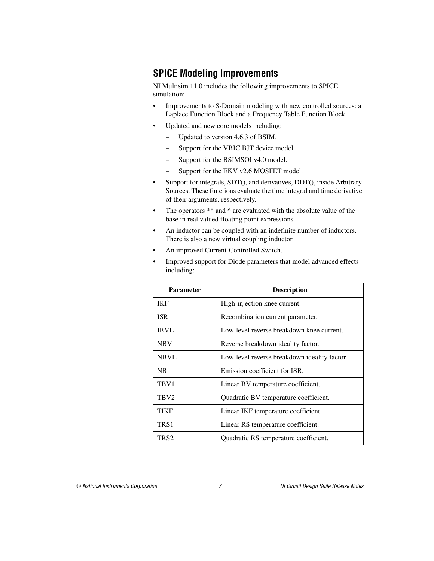## <span id="page-6-0"></span>**SPICE Modeling Improvements**

NI Multisim 11.0 includes the following improvements to SPICE simulation:

- Improvements to S-Domain modeling with new controlled sources: a Laplace Function Block and a Frequency Table Function Block.
- Updated and new core models including:
	- Updated to version 4.6.3 of BSIM.
	- Support for the VBIC BJT device model.
	- Support for the BSIMSOI v4.0 model.
	- Support for the EKV v2.6 MOSFET model.
- Support for integrals, SDT(), and derivatives, DDT(), inside Arbitrary Sources. These functions evaluate the time integral and time derivative of their arguments, respectively.
- The operators  $**$  and  $\wedge$  are evaluated with the absolute value of the base in real valued floating point expressions.
- An inductor can be coupled with an indefinite number of inductors. There is also a new virtual coupling inductor.
- An improved Current-Controlled Switch.
- Improved support for Diode parameters that model advanced effects including:

| <b>Parameter</b> | <b>Description</b>                           |
|------------------|----------------------------------------------|
| <b>IKF</b>       | High-injection knee current.                 |
| <b>ISR</b>       | Recombination current parameter.             |
| IBVL             | Low-level reverse breakdown knee current.    |
| <b>NBV</b>       | Reverse breakdown ideality factor.           |
| <b>NBVL</b>      | Low-level reverse breakdown ideality factor. |
| NR.              | Emission coefficient for ISR.                |
| TBV1             | Linear BV temperature coefficient.           |
| TBV <sub>2</sub> | Quadratic BV temperature coefficient.        |
| TIKF             | Linear IKF temperature coefficient.          |
| TRS1             | Linear RS temperature coefficient.           |
| TRS2             | Quadratic RS temperature coefficient.        |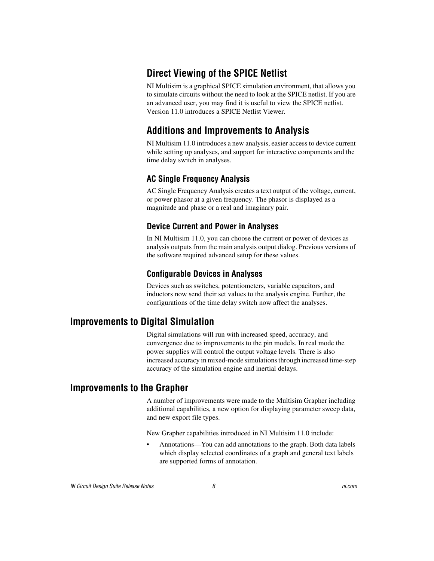## <span id="page-7-0"></span>**Direct Viewing of the SPICE Netlist**

NI Multisim is a graphical SPICE simulation environment, that allows you to simulate circuits without the need to look at the SPICE netlist. If you are an advanced user, you may find it is useful to view the SPICE netlist. Version 11.0 introduces a SPICE Netlist Viewer.

## <span id="page-7-1"></span>**Additions and Improvements to Analysis**

NI Multisim 11.0 introduces a new analysis, easier access to device current while setting up analyses, and support for interactive components and the time delay switch in analyses.

#### **AC Single Frequency Analysis**

AC Single Frequency Analysis creates a text output of the voltage, current, or power phasor at a given frequency. The phasor is displayed as a magnitude and phase or a real and imaginary pair.

#### **Device Current and Power in Analyses**

In NI Multisim 11.0, you can choose the current or power of devices as analysis outputs from the main analysis output dialog. Previous versions of the software required advanced setup for these values.

#### **Configurable Devices in Analyses**

Devices such as switches, potentiometers, variable capacitors, and inductors now send their set values to the analysis engine. Further, the configurations of the time delay switch now affect the analyses.

## <span id="page-7-2"></span>**Improvements to Digital Simulation**

Digital simulations will run with increased speed, accuracy, and convergence due to improvements to the pin models. In real mode the power supplies will control the output voltage levels. There is also increased accuracy in mixed-mode simulations through increased time-step accuracy of the simulation engine and inertial delays.

## <span id="page-7-3"></span>**Improvements to the Grapher**

A number of improvements were made to the Multisim Grapher including additional capabilities, a new option for displaying parameter sweep data, and new export file types.

New Grapher capabilities introduced in NI Multisim 11.0 include:

• Annotations—You can add annotations to the graph. Both data labels which display selected coordinates of a graph and general text labels are supported forms of annotation.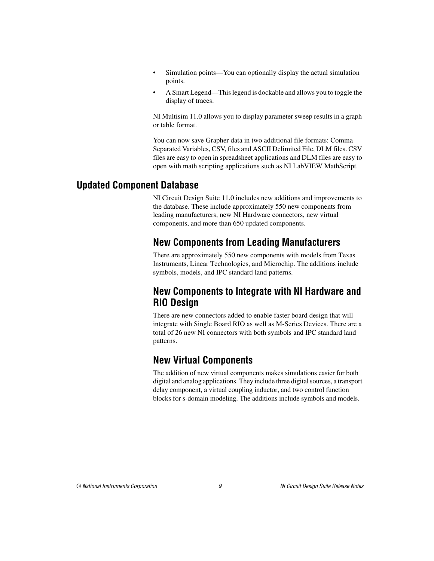- Simulation points—You can optionally display the actual simulation points.
- A Smart Legend—This legend is dockable and allows you to toggle the display of traces.

NI Multisim 11.0 allows you to display parameter sweep results in a graph or table format.

You can now save Grapher data in two additional file formats: Comma Separated Variables, CSV, files and ASCII Delimited File, DLM files. CSV files are easy to open in spreadsheet applications and DLM files are easy to open with math scripting applications such as NI LabVIEW MathScript.

## <span id="page-8-1"></span><span id="page-8-0"></span>**Updated Component Database**

NI Circuit Design Suite 11.0 includes new additions and improvements to the database. These include approximately 550 new components from leading manufacturers, new NI Hardware connectors, new virtual components, and more than 650 updated components.

## **New Components from Leading Manufacturers**

There are approximately 550 new components with models from Texas Instruments, Linear Technologies, and Microchip. The additions include symbols, models, and IPC standard land patterns.

## <span id="page-8-2"></span>**New Components to Integrate with NI Hardware and RIO Design**

There are new connectors added to enable faster board design that will integrate with Single Board RIO as well as M-Series Devices. There are a total of 26 new NI connectors with both symbols and IPC standard land patterns.

## <span id="page-8-3"></span>**New Virtual Components**

The addition of new virtual components makes simulations easier for both digital and analog applications. They include three digital sources, a transport delay component, a virtual coupling inductor, and two control function blocks for s-domain modeling. The additions include symbols and models.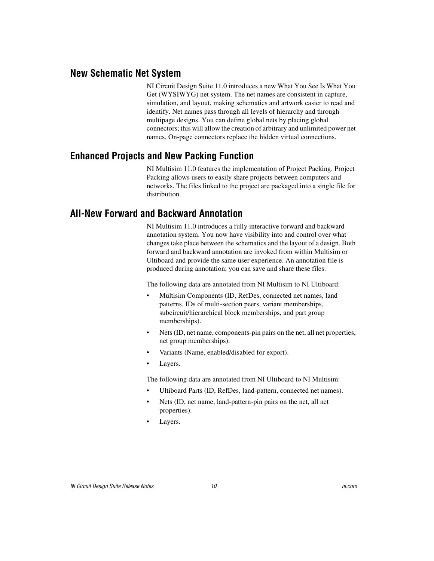#### <span id="page-9-0"></span>**New Schematic Net System**

NI Circuit Design Suite 11.0 introduces a new What You See Is What You Get (WYSIWYG) net system. The net names are consistent in capture, simulation, and layout, making schematics and artwork easier to read and identify. Net names pass through all levels of hierarchy and through multipage designs. You can define global nets by placing global connectors; this will allow the creation of arbitrary and unlimited power net names. On-page connectors replace the hidden virtual connections.

#### <span id="page-9-1"></span>**Enhanced Projects and New Packing Function**

NI Multisim 11.0 features the implementation of Project Packing. Project Packing allows users to easily share projects between computers and networks. The files linked to the project are packaged into a single file for distribution.

#### <span id="page-9-2"></span>**All-New Forward and Backward Annotation**

NI Multisim 11.0 introduces a fully interactive forward and backward annotation system. You now have visibility into and control over what changes take place between the schematics and the layout of a design. Both forward and backward annotation are invoked from within Multisim or Ultiboard and provide the same user experience. An annotation file is produced during annotation; you can save and share these files.

The following data are annotated from NI Multisim to NI Ultiboard:

- Multisim Components (ID, RefDes, connected net names, land patterns, IDs of multi-section peers, variant memberships, subcircuit/hierarchical block memberships, and part group memberships).
- Nets (ID, net name, components-pin pairs on the net, all net properties, net group memberships).
- Variants (Name, enabled/disabled for export).
- Layers.

The following data are annotated from NI Ultiboard to NI Multisim:

- Ultiboard Parts (ID, RefDes, land-pattern, connected net names).
- Nets (ID, net name, land-pattern-pin pairs on the net, all net properties).
- Layers.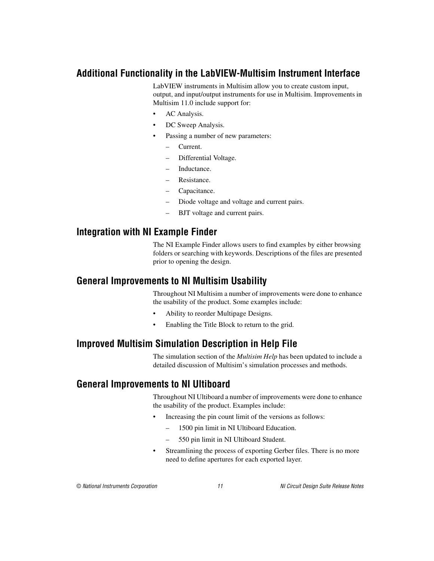## <span id="page-10-0"></span>**Additional Functionality in the LabVIEW-Multisim Instrument Interface**

LabVIEW instruments in Multisim allow you to create custom input, output, and input/output instruments for use in Multisim. Improvements in Multisim 11.0 include support for:

- AC Analysis.
- DC Sweep Analysis.
- Passing a number of new parameters:
	- Current.
	- Differential Voltage.
	- Inductance.
	- Resistance.
	- Capacitance.
	- Diode voltage and voltage and current pairs.
	- BJT voltage and current pairs.

#### <span id="page-10-1"></span>**Integration with NI Example Finder**

The NI Example Finder allows users to find examples by either browsing folders or searching with keywords. Descriptions of the files are presented prior to opening the design.

#### <span id="page-10-2"></span>**General Improvements to NI Multisim Usability**

Throughout NI Multisim a number of improvements were done to enhance the usability of the product. Some examples include:

- Ability to reorder Multipage Designs.
- Enabling the Title Block to return to the grid.

#### <span id="page-10-3"></span>**Improved Multisim Simulation Description in Help File**

The simulation section of the *Multisim Help* has been updated to include a detailed discussion of Multisim's simulation processes and methods.

#### <span id="page-10-4"></span>**General Improvements to NI Ultiboard**

Throughout NI Ultiboard a number of improvements were done to enhance the usability of the product. Examples include:

- Increasing the pin count limit of the versions as follows:
	- 1500 pin limit in NI Ultiboard Education.
	- 550 pin limit in NI Ultiboard Student.
- Streamlining the process of exporting Gerber files. There is no more need to define apertures for each exported layer.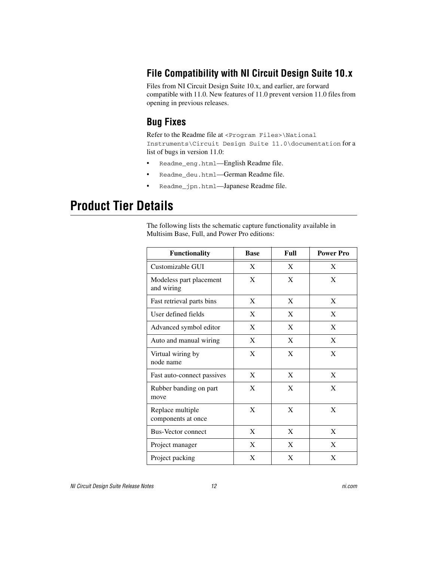## <span id="page-11-0"></span>**File Compatibility with NI Circuit Design Suite 10.x**

Files from NI Circuit Design Suite 10.x, and earlier, are forward compatible with 11.0. New features of 11.0 prevent version 11.0 files from opening in previous releases.

## <span id="page-11-1"></span>**Bug Fixes**

Refer to the Readme file at <Program Files>\National Instruments\Circuit Design Suite 11.0\documentation for a list of bugs in version 11.0:

- Readme\_eng.html—English Readme file.
- Readme\_deu.html—German Readme file.
- Readme\_jpn.html—Japanese Readme file.

## <span id="page-11-2"></span>**Product Tier Details**

The following lists the schematic capture functionality available in Multisim Base, Full, and Power Pro editions:

| <b>Functionality</b>                   | <b>Base</b> | Full | <b>Power Pro</b> |
|----------------------------------------|-------------|------|------------------|
| Customizable GUI                       | X           | X    | X                |
| Modeless part placement<br>and wiring  | X           | X    | X                |
| Fast retrieval parts bins              | X           | X    | X                |
| User defined fields                    | X           | X    | X                |
| Advanced symbol editor                 | X           | X    | X                |
| Auto and manual wiring                 | X           | X    | X                |
| Virtual wiring by<br>node name         | X           | X    | X                |
| Fast auto-connect passives             | X           | X    | X                |
| Rubber banding on part<br>move         | X           | X    | X                |
| Replace multiple<br>components at once | X           | X    | X                |
| <b>Bus-Vector connect</b>              | X           | X    | X                |
| Project manager                        | X           | X    | X                |
| Project packing                        | X           | X    | X                |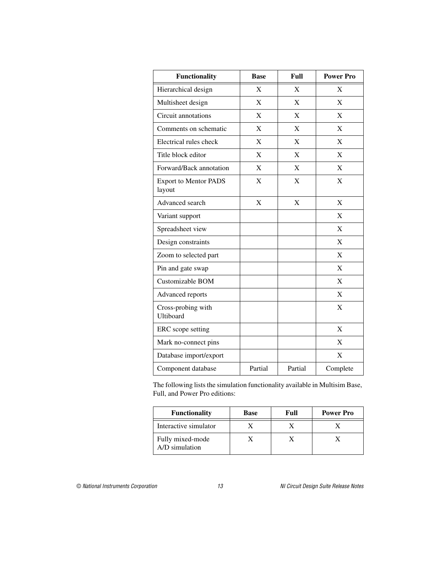| <b>Functionality</b>                   | <b>Base</b> | Full    | <b>Power Pro</b> |
|----------------------------------------|-------------|---------|------------------|
| Hierarchical design                    | X           | X       | X                |
| Multisheet design                      | X           | X       | X                |
| Circuit annotations                    | X           | X       | X                |
| Comments on schematic                  | X           | X       | X                |
| Electrical rules check                 | $\mathbf X$ | X       | X                |
| Title block editor                     | X           | X       | X                |
| Forward/Back annotation                | X           | X       | X                |
| <b>Export to Mentor PADS</b><br>layout | X           | X       | X                |
| Advanced search                        | X           | X       | X                |
| Variant support                        |             |         | X                |
| Spreadsheet view                       |             |         | X                |
| Design constraints                     |             |         | X                |
| Zoom to selected part                  |             |         | X                |
| Pin and gate swap                      |             |         | $\mathbf{X}$     |
| Customizable BOM                       |             |         | X                |
| Advanced reports                       |             |         | X                |
| Cross-probing with<br>Ultiboard        |             |         | X                |
| ERC scope setting                      |             |         | X                |
| Mark no-connect pins                   |             |         | X                |
| Database import/export                 |             |         | X                |
| Component database                     | Partial     | Partial | Complete         |

The following lists the simulation functionality available in Multisim Base, Full, and Power Pro editions:

| <b>Functionality</b>               | <b>Base</b> | Full | <b>Power Pro</b> |
|------------------------------------|-------------|------|------------------|
| Interactive simulator              |             |      |                  |
| Fully mixed-mode<br>A/D simulation |             |      |                  |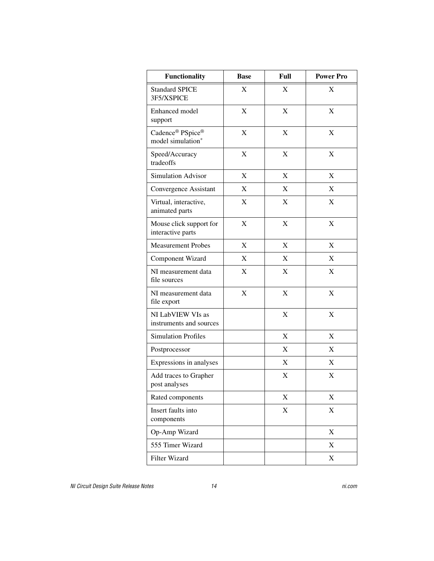| <b>Functionality</b>                         | <b>Base</b>               | Full        | <b>Power Pro</b>          |
|----------------------------------------------|---------------------------|-------------|---------------------------|
| <b>Standard SPICE</b><br>3F5/XSPICE          | $\mathbf X$               | X           | X                         |
| Enhanced model<br>support                    | $\mathbf X$               | X           | $\mathbf X$               |
| Cadence® PSpice®<br>model simulation*        | X                         | X           | X                         |
| Speed/Accuracy<br>tradeoffs                  | X                         | X           | X                         |
| <b>Simulation Advisor</b>                    | X                         | X           | X                         |
| Convergence Assistant                        | X                         | X           | X                         |
| Virtual, interactive,<br>animated parts      | X                         | X           | X                         |
| Mouse click support for<br>interactive parts | X                         | X           | $\mathbf X$               |
| <b>Measurement Probes</b>                    | X                         | X           | $\mathbf X$               |
| Component Wizard                             | X                         | X           | X                         |
| NI measurement data<br>file sources          | X                         | X           | X                         |
| NI measurement data<br>file export           | $\boldsymbol{\mathrm{X}}$ | X           | X                         |
| NI LabVIEW VIs as<br>instruments and sources |                           | $\mathbf X$ | $\mathbf X$               |
| <b>Simulation Profiles</b>                   |                           | X           | X                         |
| Postprocessor                                |                           | X           | X                         |
| Expressions in analyses                      |                           | X           | X                         |
| Add traces to Grapher<br>post analyses       |                           | X           | X                         |
| Rated components                             |                           | X           | X                         |
| Insert faults into<br>components             |                           | X           | X                         |
| Op-Amp Wizard                                |                           |             | $\boldsymbol{\mathrm{X}}$ |
| 555 Timer Wizard                             |                           |             | X                         |
| Filter Wizard                                |                           |             | X                         |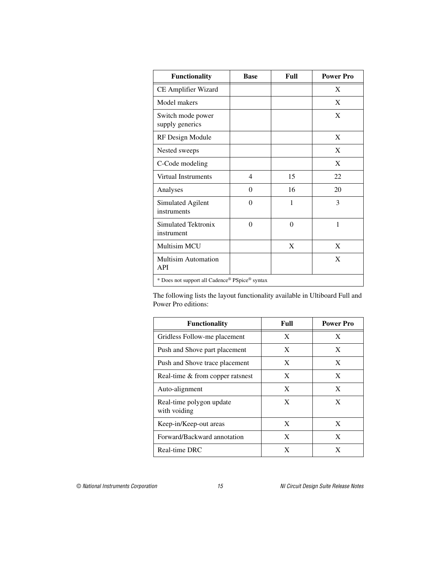| <b>Functionality</b>                           | <b>Base</b> | Full     | <b>Power Pro</b> |  |
|------------------------------------------------|-------------|----------|------------------|--|
| CE Amplifier Wizard                            |             |          | X                |  |
| Model makers                                   |             |          | X                |  |
| Switch mode power<br>supply generics           |             |          | X                |  |
| RF Design Module                               |             |          | X                |  |
| Nested sweeps                                  |             |          | X                |  |
| C-Code modeling                                |             |          | X                |  |
| Virtual Instruments                            | 4           | 15       | 22               |  |
| Analyses                                       | $\Omega$    | 16       | 20               |  |
| Simulated Agilent<br>instruments               | $\theta$    | 1        | 3                |  |
| Simulated Tektronix<br>instrument              | $\theta$    | $\Omega$ | 1                |  |
| Multisim MCU                                   |             | X        | X                |  |
| <b>Multisim Automation</b><br>API              |             |          | X                |  |
| * Does not support all Cadence® PSpice® syntax |             |          |                  |  |

The following lists the layout functionality available in Ultiboard Full and Power Pro editions:

| <b>Functionality</b>                     | Full | <b>Power Pro</b> |
|------------------------------------------|------|------------------|
| Gridless Follow-me placement             | X    | X                |
| Push and Shove part placement            | X    | X                |
| Push and Shove trace placement           | X    | X                |
| Real-time & from copper ratsnest         | X    | X                |
| Auto-alignment                           | X    | X                |
| Real-time polygon update<br>with voiding | X    | X                |
| Keep-in/Keep-out areas                   | X    | X                |
| Forward/Backward annotation              | X    | X                |
| Real-time DRC                            | X    | X                |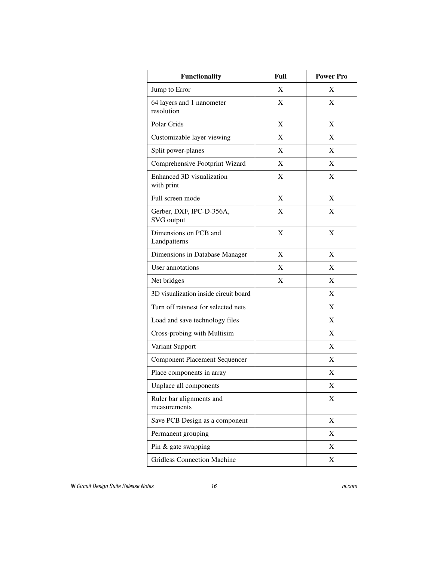| <b>Functionality</b>                     | Full | <b>Power Pro</b> |
|------------------------------------------|------|------------------|
| Jump to Error                            | X    | X                |
| 64 layers and 1 nanometer<br>resolution  | X    | X                |
| Polar Grids                              | X    | X                |
| Customizable layer viewing               | X    | X                |
| Split power-planes                       | X    | X                |
| Comprehensive Footprint Wizard           | X    | X                |
| Enhanced 3D visualization<br>with print  | X    | X                |
| Full screen mode                         | X    | X                |
| Gerber, DXF, IPC-D-356A,<br>SVG output   | X    | X                |
| Dimensions on PCB and<br>Landpatterns    | X    | X                |
| Dimensions in Database Manager           | X    | X                |
| User annotations                         | X    | X                |
| Net bridges                              | X    | X                |
| 3D visualization inside circuit board    |      | X                |
| Turn off ratsnest for selected nets      |      | X                |
| Load and save technology files           |      | X                |
| Cross-probing with Multisim              |      | X                |
| Variant Support                          |      | X                |
| <b>Component Placement Sequencer</b>     |      | X                |
| Place components in array                |      | X                |
| Unplace all components                   |      | X                |
| Ruler bar alignments and<br>measurements |      | X                |
| Save PCB Design as a component           |      | $\mathbf X$      |
| Permanent grouping                       |      | X                |
| Pin & gate swapping                      |      | X                |
| <b>Gridless Connection Machine</b>       |      | $\mathbf X$      |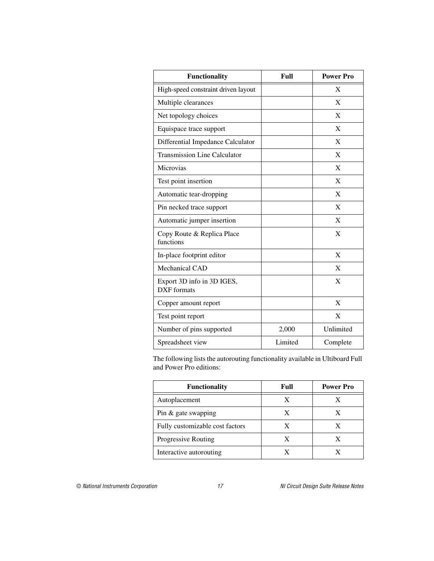| <b>Functionality</b>                             | Full    | <b>Power Pro</b> |
|--------------------------------------------------|---------|------------------|
| High-speed constraint driven layout              |         | X                |
| Multiple clearances                              |         | X                |
| Net topology choices                             |         | $\mathbf{X}$     |
| Equispace trace support                          |         | X                |
| Differential Impedance Calculator                |         | $\mathbf{X}$     |
| <b>Transmission Line Calculator</b>              |         | X                |
| Microvias                                        |         | $\mathbf{X}$     |
| Test point insertion                             |         | X                |
| Automatic tear-dropping                          |         | $\mathbf{X}$     |
| Pin necked trace support                         |         | X                |
| Automatic jumper insertion                       |         | $\mathbf{X}$     |
| Copy Route & Replica Place<br>functions          |         | X                |
| In-place footprint editor                        |         | X                |
| Mechanical CAD                                   |         | X                |
| Export 3D info in 3D IGES,<br><b>DXF</b> formats |         | X                |
| Copper amount report                             |         | X                |
| Test point report                                |         | X                |
| Number of pins supported                         | 2,000   | Unlimited        |
| Spreadsheet view                                 | Limited | Complete         |

The following lists the autorouting functionality available in Ultiboard Full and Power Pro editions:

| <b>Functionality</b>            | Full | <b>Power Pro</b> |
|---------------------------------|------|------------------|
| Autoplacement                   |      |                  |
| Pin $\&$ gate swapping          | X    |                  |
| Fully customizable cost factors |      |                  |
| Progressive Routing             |      |                  |
| Interactive autorouting         |      |                  |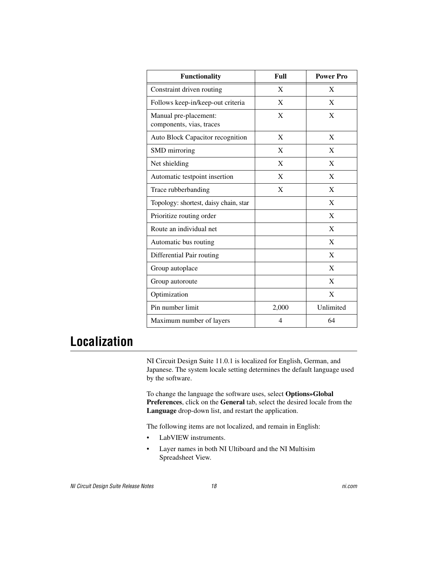| <b>Functionality</b>                              | Full         | <b>Power Pro</b> |
|---------------------------------------------------|--------------|------------------|
| Constraint driven routing                         | X            | X                |
| Follows keep-in/keep-out criteria                 | X            | X                |
| Manual pre-placement:<br>components, vias, traces | X            | X                |
| Auto Block Capacitor recognition                  | X            | X                |
| SMD mirroring                                     | X            | X                |
| Net shielding                                     | $\mathbf{X}$ | X                |
| Automatic testpoint insertion                     | X            | X                |
| Trace rubberbanding                               | $\mathbf{X}$ | X                |
| Topology: shortest, daisy chain, star             |              | X                |
| Prioritize routing order                          |              | X                |
| Route an individual net                           |              | X                |
| Automatic bus routing                             |              | $\mathbf{X}$     |
| Differential Pair routing                         |              | X                |
| Group autoplace                                   |              | X                |
| Group autoroute                                   |              | X                |
| Optimization                                      |              | X                |
| Pin number limit                                  | 2,000        | Unlimited        |
| Maximum number of layers                          | 4            | 64               |

## <span id="page-17-0"></span>**Localization**

NI Circuit Design Suite 11.0.1 is localized for English, German, and Japanese. The system locale setting determines the default language used by the software.

To change the language the software uses, select **Options»Global Preferences**, click on the **General** tab, select the desired locale from the **Language** drop-down list, and restart the application.

The following items are not localized, and remain in English:

- LabVIEW instruments.
- Layer names in both NI Ultiboard and the NI Multisim Spreadsheet View.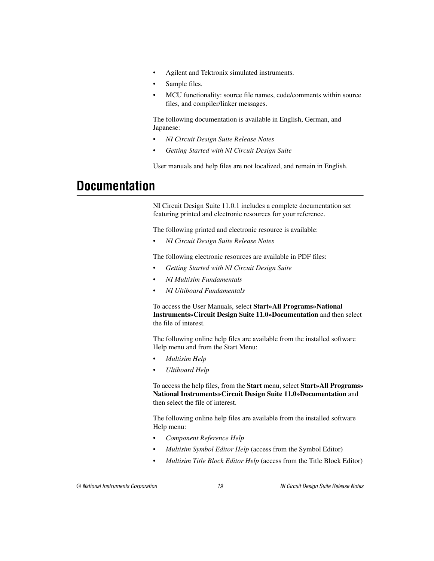- Agilent and Tektronix simulated instruments.
- Sample files.
- MCU functionality: source file names, code/comments within source files, and compiler/linker messages.

The following documentation is available in English, German, and Japanese:

- *NI Circuit Design Suite Release Notes*
- *Getting Started with NI Circuit Design Suite*

User manuals and help files are not localized, and remain in English.

## <span id="page-18-0"></span>**Documentation**

NI Circuit Design Suite 11.0.1 includes a complete documentation set featuring printed and electronic resources for your reference.

The following printed and electronic resource is available:

• *NI Circuit Design Suite Release Notes*

The following electronic resources are available in PDF files:

- *Getting Started with NI Circuit Design Suite*
- *NI Multisim Fundamentals*
- *NI Ultiboard Fundamentals*

To access the User Manuals, select **Start»All Programs»National Instruments»Circuit Design Suite 11.0»Documentation** and then select the file of interest.

The following online help files are available from the installed software Help menu and from the Start Menu:

- *Multisim Help*
- *Ultiboard Help*

To access the help files, from the **Start** menu, select **Start»All Programs» National Instruments»Circuit Design Suite 11.0»Documentation** and then select the file of interest.

The following online help files are available from the installed software Help menu:

- *Component Reference Help*
- *Multisim Symbol Editor Help* (access from the Symbol Editor)
- *Multisim Title Block Editor Help* (access from the Title Block Editor)